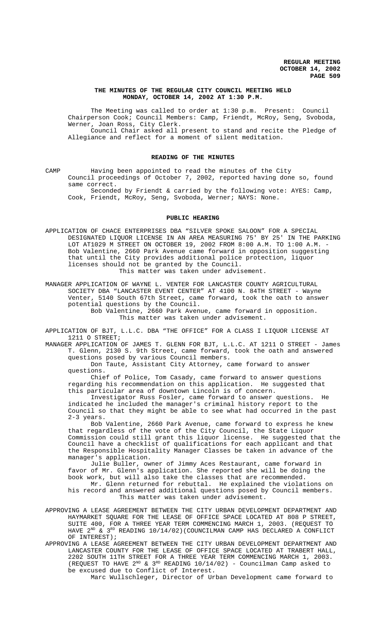## **THE MINUTES OF THE REGULAR CITY COUNCIL MEETING HELD MONDAY, OCTOBER 14, 2002 AT 1:30 P.M.**

The Meeting was called to order at 1:30 p.m. Present: Council Chairperson Cook; Council Members: Camp, Friendt, McRoy, Seng, Svoboda, Werner, Joan Ross, City Clerk. Council Chair asked all present to stand and recite the Pledge of Allegiance and reflect for a moment of silent meditation.

#### **READING OF THE MINUTES**

CAMP Having been appointed to read the minutes of the City Council proceedings of October 7, 2002, reported having done so, found same correct.

Seconded by Friendt & carried by the following vote: AYES: Camp, Cook, Friendt, McRoy, Seng, Svoboda, Werner; NAYS: None.

## **PUBLIC HEARING**

APPLICATION OF CHACE ENTERPRISES DBA "SILVER SPOKE SALOON" FOR A SPECIAL DESIGNATED LIQUOR LICENSE IN AN AREA MEASURING 75' BY 25' IN THE PARKING LOT AT1029 M STREET ON OCTOBER 19, 2002 FROM 8:00 A.M. TO 1:00 A.M. - Bob Valentine, 2660 Park Avenue came forward in opposition suggesting that until the City provides additional police protection, liquor licenses should not be granted by the Council.

This matter was taken under advisement.

MANAGER APPLICATION OF WAYNE L. VENTER FOR LANCASTER COUNTY AGRICULTURAL SOCIETY DBA "LANCASTER EVENT CENTER" AT 4100 N. 84TH STREET - Wayne Venter, 5140 South 67th Street, came forward, took the oath to answer potential questions by the Council.

Bob Valentine, 2660 Park Avenue, came forward in opposition. This matter was taken under advisement.

APPLICATION OF BJT, L.L.C. DBA "THE OFFICE" FOR A CLASS I LIQUOR LICENSE AT 1211 O STREET;

MANAGER APPLICATION OF JAMES T. GLENN FOR BJT, L.L.C. AT 1211 O STREET - James T. Glenn, 2130 S. 9th Street, came forward, took the oath and answered questions posed by various Council members.

Don Taute, Assistant City Attorney, came forward to answer questions.

Chief of Police, Tom Casady, came forward to answer questions regarding his recommendation on this application. He suggested that this particular area of downtown Lincoln is of concern.

Investigator Russ Fosler, came forward to answer questions. He indicated he included the manager's criminal history report to the Council so that they might be able to see what had occurred in the past 2-3 years.

Bob Valentine, 2660 Park Avenue, came forward to express he knew that regardless of the vote of the City Council, the State Liquor Commission could still grant this liquor license. He suggested that the Council have a checklist of qualifications for each applicant and that the Responsible Hospitality Manager Classes be taken in advance of the manager's application.

Julie Buller, owner of Jimmy Aces Restaurant, came forward in favor of Mr. Glenn's application. She reported she will be doing the book work, but will also take the classes that are recommended. Mr. Glenn returned for rebuttal. He explained the violations on his record and answered additional questions posed by Council members.

This matter was taken under advisement.

- APPROVING A LEASE AGREEMENT BETWEEN THE CITY URBAN DEVELOPMENT DEPARTMENT AND HAYMARKET SQUARE FOR THE LEASE OF OFFICE SPACE LOCATED AT 808 P STREET, SUITE 400, FOR A THREE YEAR TERM COMMENCING MARCH 1, 2003. (REQUEST TO HAVE  $2^{ND}$  &  $3^{RD}$  READING 10/14/02)(COUNCILMAN CAMP HAS DECLARED A CONFLICT OF INTEREST);
- APPROVING A LEASE AGREEMENT BETWEEN THE CITY URBAN DEVELOPMENT DEPARTMENT AND LANCASTER COUNTY FOR THE LEASE OF OFFICE SPACE LOCATED AT TRABERT HALL, 2202 SOUTH 11TH STREET FOR A THREE YEAR TERM COMMENCING MARCH 1, 2003. (REQUEST TO HAVE  $2^{ND}$  &  $3^{RD}$  READING  $10/14/02$ ) - Councilman Camp asked to be excused due to Conflict of Interest.

Marc Wullschleger, Director of Urban Development came forward to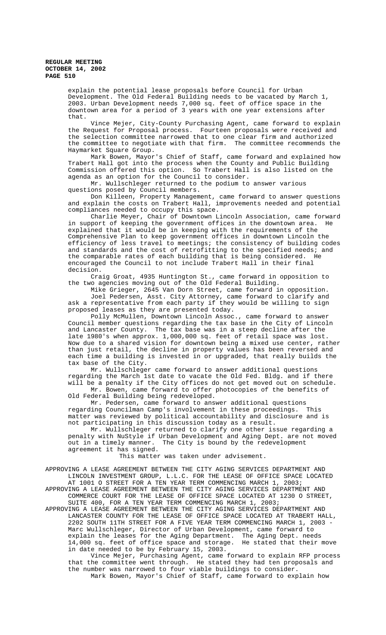explain the potential lease proposals before Council for Urban Development. The Old Federal Building needs to be vacated by March 1, 2003. Urban Development needs 7,000 sq. feet of office space in the downtown area for a period of 3 years with one year extensions after that.

Vince Mejer, City-County Purchasing Agent, came forward to explain the Request for Proposal process. Fourteen proposals were received and the selection committee narrowed that to one clear firm and authorized the committee to negotiate with that firm. The committee recommends the Haymarket Square Group.

Mark Bowen, Mayor's Chief of Staff, came forward and explained how Trabert Hall got into the process when the County and Public Building Commission offered this option. So Trabert Hall is also listed on the agenda as an option for the Council to consider.

Mr. Wullschleger returned to the podium to answer various questions posed by Council members.

Don Killeen, Property Management, came forward to answer questions and explain the costs on Trabert Hall, improvements needed and potential compliances needed to occupy this space.

Charlie Meyer, Chair of Downtown Lincoln Association, came forward in support of keeping the government offices in the downtown area. He explained that it would be in keeping with the requirements of the Comprehensive Plan to keep government offices in downtown Lincoln the efficiency of less travel to meetings; the consistency of building codes and standards and the cost of retrofitting to the specified needs; and the comparable rates of each building that is being considered. He encouraged the Council to not include Trabert Hall in their final decision.

Craig Groat, 4935 Huntington St., came forward in opposition to the two agencies moving out of the Old Federal Building.

Mike Grieger, 2645 Van Dorn Street, came forward in opposition. Joel Pedersen, Asst. City Attorney, came forward to clarify and ask a representative from each party if they would be willing to sign proposed leases as they are presented today.

Polly McMullen, Downtown Lincoln Assoc., came forward to answer Council member questions regarding the tax base in the City of Lincoln and Lancaster County. The tax base was in a steep decline after the late 1980's when approx. 1,000,000 sq. feet of retail space was lost. Now due to a shared vision for downtown being a mixed use center, rather than just retail, the decline in property values has been reversed and each time a building is invested in or upgraded, that really builds the tax base of the City.

Mr. Wullschleger came forward to answer additional questions regarding the March 1st date to vacate the Old Fed. Bldg. and if there will be a penalty if the City offices do not get moved out on schedule. Mr. Bowen, came forward to offer photocopies of the benefits of Old Federal Building being redeveloped.

Mr. Pedersen, came forward to answer additional questions regarding Councilman Camp's involvement in these proceedings. This matter was reviewed by political accountability and disclosure and is not participating in this discussion today as a result.

Mr. Wullschleger returned to clarify one other issue regarding a penalty with NuStyle if Urban Development and Aging Dept. are not moved out in a timely manner. The City is bound by the redevelopment agreement it has signed.

This matter was taken under advisement.

APPROVING A LEASE AGREEMENT BETWEEN THE CITY AGING SERVICES DEPARTMENT AND LINCOLN INVESTMENT GROUP, L.L.C. FOR THE LEASE OF OFFICE SPACE LOCATED AT 1001 O STREET FOR A TEN YEAR TERM COMMENCING MARCH 1, 2003;

APPROVING A LEASE AGREEMENT BETWEEN THE CITY AGING SERVICES DEPARTMENT AND COMMERCE COURT FOR THE LEASE OF OFFICE SPACE LOCATED AT 1230 O STREET, SUITE 400, FOR A TEN YEAR TERM COMMENCING MARCH 1, 2003;

APPROVING A LEASE AGREEMENT BETWEEN THE CITY AGING SERVICES DEPARTMENT AND LANCASTER COUNTY FOR THE LEASE OF OFFICE SPACE LOCATED AT TRABERT HALL, 2202 SOUTH 11TH STREET FOR A FIVE YEAR TERM COMMENCING MARCH 1, 2003 - Marc Wullschleger, Director of Urban Development, came forward to explain the leases for the Aging Department. The Aging Dept. needs 14,000 sq. feet of office space and storage. He stated that their move in date needed to be by February 15, 2003.

Vince Mejer, Purchasing Agent, came forward to explain RFP process that the committee went through. He stated they had ten proposals and the number was narrowed to four viable buildings to consider. Mark Bowen, Mayor's Chief of Staff, came forward to explain how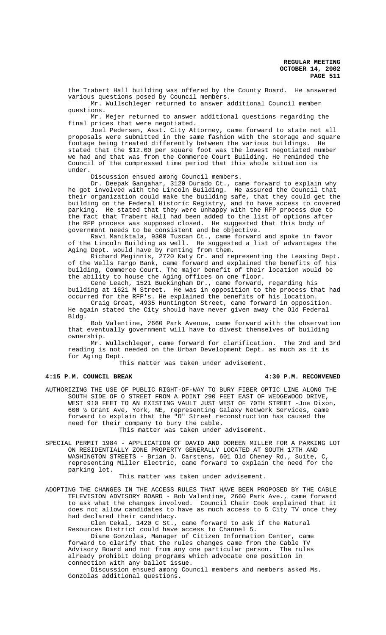the Trabert Hall building was offered by the County Board. He answered various questions posed by Council members.

Mr. Wullschleger returned to answer additional Council member questions.

Mr. Mejer returned to answer additional questions regarding the final prices that were negotiated.

Joel Pedersen, Asst. City Attorney, came forward to state not all proposals were submitted in the same fashion with the storage and square footage being treated differently between the various buildings. He stated that the \$12.60 per square foot was the lowest negotiated number we had and that was from the Commerce Court Building. He reminded the Council of the compressed time period that this whole situation is under.

Discussion ensued among Council members.

Dr. Deepak Gangahar, 3120 Durado Ct., came forward to explain why he got involved with the Lincoln Building. He assured the Council that their organization could make the building safe, that they could get the building on the Federal Historic Registry, and to have access to covered parking. He stated that they were unhappy with the RFP process due to the fact that Trabert Hall had been added to the list of options after the RFP process was supposed closed. He suggested that this body of government needs to be consistent and be objective.

Ravi Maniktala, 9300 Tuscan Ct., came forward and spoke in favor of the Lincoln Building as well. He suggested a list of advantages the Aging Dept. would have by renting from them.

Richard Meginnis, 2720 Katy Cr. and representing the Leasing Dept. of the Wells Fargo Bank, came forward and explained the benefits of his building, Commerce Court. The major benefit of their location would be the ability to house the Aging offices on one floor.

Gene Leach, 1521 Buckingham Dr., came forward, regarding his building at 1621 M Street. He was in opposition to the process that had occurred for the RFP's. He explained the benefits of his location.

Craig Groat, 4935 Huntington Street, came forward in opposition. He again stated the City should have never given away the Old Federal Bldg.

Bob Valentine, 2660 Park Avenue, came forward with the observation that eventually government will have to divest themselves of building ownership.

Mr. Wullschleger, came forward for clarification. The 2nd and 3rd reading is not needed on the Urban Development Dept. as much as it is for Aging Dept.

This matter was taken under advisement.

# **4:15 P.M. COUNCIL BREAK 4:30 P.M. RECONVENED**

AUTHORIZING THE USE OF PUBLIC RIGHT-OF-WAY TO BURY FIBER OPTIC LINE ALONG THE SOUTH SIDE OF O STREET FROM A POINT 290 FEET EAST OF WEDGEWOOD DRIVE, WEST 910 FEET TO AN EXISTING VAULT JUST WEST OF 70TH STREET -Joe Dixon, 600 ½ Grant Ave, York, NE, representing Galaxy Network Services, came forward to explain that the "O" Street reconstruction has caused the need for their company to bury the cable.

This matter was taken under advisement.

SPECIAL PERMIT 1984 - APPLICATION OF DAVID AND DOREEN MILLER FOR A PARKING LOT ON RESIDENTIALLY ZONE PROPERTY GENERALLY LOCATED AT SOUTH 17TH AND WASHINGTON STREETS - Brian D. Carstens, 601 Old Cheney Rd., Suite, C, representing Miller Electric, came forward to explain the need for the parking lot.

#### This matter was taken under advisement.

ADOPTING THE CHANGES IN THE ACCESS RULES THAT HAVE BEEN PROPOSED BY THE CABLE TELEVISION ADVISORY BOARD - Bob Valentine, 2660 Park Ave., came forward to ask what the changes involved. Council Chair Cook explained that it does not allow candidates to have as much access to 5 City TV once they had declared their candidacy.

Glen Cekal, 1420 C St., came forward to ask if the Natural Resources District could have access to Channel 5.

Diane Gonzolas, Manager of Citizen Information Center, came forward to clarify that the rules changes came from the Cable TV Advisory Board and not from any one particular person. The rules already prohibit doing programs which advocate one position in connection with any ballot issue.

Discussion ensued among Council members and members asked Ms. Gonzolas additional questions.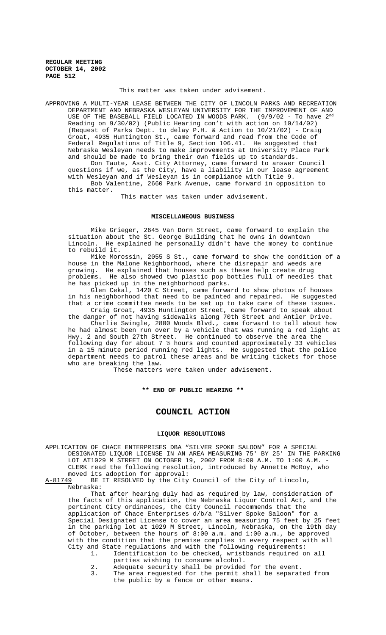#### This matter was taken under advisement.

APPROVING A MULTI-YEAR LEASE BETWEEN THE CITY OF LINCOLN PARKS AND RECREATION DEPARTMENT AND NEBRASKA WESLEYAN UNIVERSITY FOR THE IMPROVEMENT OF AND USE OF THE BASEBALL FIELD LOCATED IN WOODS PARK. (9/9/02 - To have 2<sup>nd</sup> Reading on 9/30/02) (Public Hearing con't with action on 10/14/02) (Request of Parks Dept. to delay P.H. & Action to 10/21/02) - Craig Groat, 4935 Huntington St., came forward and read from the Code of Federal Regulations of Title 9, Section 106.41. He suggested that Nebraska Wesleyan needs to make improvements at University Place Park and should be made to bring their own fields up to standards.

Don Taute, Asst. City Attorney, came forward to answer Council questions if we, as the City, have a liability in our lease agreement with Wesleyan and if Wesleyan is in compliance with Title 9. Bob Valentine, 2660 Park Avenue, came forward in opposition to

this matter.

This matter was taken under advisement.

#### **MISCELLANEOUS BUSINESS**

Mike Grieger, 2645 Van Dorn Street, came forward to explain the situation about the St. George Building that he owns in downtown Lincoln. He explained he personally didn't have the money to continue to rebuild it.

Mike Morossin, 2055 S St., came forward to show the condition of a house in the Malone Neighborhood, where the disrepair and weeds are growing. He explained that houses such as these help create drug<br>problems. He also showed two plastic pop bottles full of needles He also showed two plastic pop bottles full of needles that he has picked up in the neighborhood parks.

Glen Cekal, 1420 C Street, came forward to show photos of houses in his neighborhood that need to be painted and repaired. He suggested that a crime committee needs to be set up to take care of these issues.

Craig Groat, 4935 Huntington Street, came forward to speak about the danger of not having sidewalks along 70th Street and Antler Drive.

Charlie Swingle, 2800 Woods Blvd., came forward to tell about how he had almost been run over by a vehicle that was running a red light at Hwy. 2 and South 27th Street. He continued to observe the area the following day for about 7 ½ hours and counted approximately 33 vehicles in a 15 minute period running red lights. He suggested that the police department needs to patrol these areas and be writing tickets for those who are breaking the law.

These matters were taken under advisement.

# **\*\* END OF PUBLIC HEARING \*\***

# **COUNCIL ACTION**

## **LIQUOR RESOLUTIONS**

APPLICATION OF CHACE ENTERPRISES DBA "SILVER SPOKE SALOON" FOR A SPECIAL DESIGNATED LIQUOR LICENSE IN AN AREA MEASURING 75' BY 25' IN THE PARKING LOT AT1029 M STREET ON OCTOBER 19, 2002 FROM 8:00 A.M. TO 1:00 A.M. - CLERK read the following resolution, introduced by Annette McRoy, who moved its adoption for approval:<br>A-81749 BE IT RESOLVED by the City

BE IT RESOLVED by the City Council of the City of Lincoln Nebraska:

That after hearing duly had as required by law, consideration of the facts of this application, the Nebraska Liquor Control Act, and the pertinent City ordinances, the City Council recommends that the application of Chace Enterprises d/b/a "Silver Spoke Saloon" for a Special Designated License to cover an area measuring 75 feet by 25 feet in the parking lot at 1029 M Street, Lincoln, Nebraska, on the 19th day of October, between the hours of 8:00 a.m. and 1:00 a.m., be approved with the condition that the premise complies in every respect with all City and State regulations and with the following requirements:

- 1. Identification to be checked, wristbands required on all parties wishing to consume alcohol.
- 2. Adequate security shall be provided for the event.<br>3. The area requested for the permit shall be separat
	- The area requested for the permit shall be separated from the public by a fence or other means.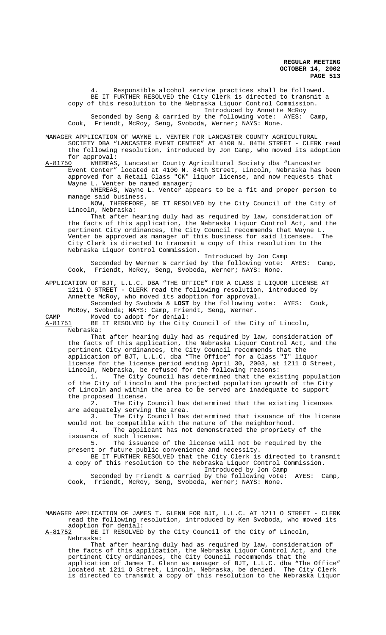4. Responsible alcohol service practices shall be followed. BE IT FURTHER RESOLVED the City Clerk is directed to transmit a copy of this resolution to the Nebraska Liquor Control Commission. Introduced by Annette McRoy Seconded by Seng & carried by the following vote: AYES: Camp, Cook, Friendt, McRoy, Seng, Svoboda, Werner; NAYS: None.

MANAGER APPLICATION OF WAYNE L. VENTER FOR LANCASTER COUNTY AGRICULTURAL SOCIETY DBA "LANCASTER EVENT CENTER" AT 4100 N. 84TH STREET - CLERK read the following resolution, introduced by Jon Camp, who moved its adoption for approval:<br>A-81750 WHEREAS

A-81750 WHEREAS, Lancaster County Agricultural Society dba "Lancaster Event Center" located at 4100 N. 84th Street, Lincoln, Nebraska has been approved for a Retail Class "CK" liquor license, and now requests that Wayne L. Venter be named manager;

WHEREAS, Wayne L. Venter appears to be a fit and proper person to manage said business.

NOW, THEREFORE, BE IT RESOLVED by the City Council of the City of Lincoln, Nebraska:

That after hearing duly had as required by law, consideration of the facts of this application, the Nebraska Liquor Control Act, and the pertinent City ordinances, the City Council recommends that Wayne L. Venter be approved as manager of this business for said licensee. The City Clerk is directed to transmit a copy of this resolution to the Nebraska Liquor Control Commission.

Introduced by Jon Camp Seconded by Werner & carried by the following vote: AYES: Camp, Cook, Friendt, McRoy, Seng, Svoboda, Werner; NAYS: None.

APPLICATION OF BJT, L.L.C. DBA "THE OFFICE" FOR A CLASS I LIQUOR LICENSE AT 1211 O STREET - CLERK read the following resolution, introduced by Annette McRoy, who moved its adoption for approval.

Seconded by Svoboda & **LOST** by the following vote: AYES: Cook, McRoy, Svoboda; NAYS: Camp, Friendt, Seng, Werner.

CAMP Moved to adopt for denial:

A-81751 BE IT RESOLVED by the City Council of the City of Lincoln, Nebraska:

That after hearing duly had as required by law, consideration of the facts of this application, the Nebraska Liquor Control Act, and the pertinent City ordinances, the City Council recommends that the application of BJT, L.L.C. dba "The Office" for a Class "I" liquor license for the license period ending April 30, 2003, at 1211 O Street, Lincoln, Nebraska, be refused for the following reasons:

The City Council has determined that the existing population of the City of Lincoln and the projected population growth of the City of Lincoln and within the area to be served are inadequate to support the proposed license.

2. The City Council has determined that the existing licenses are adequately serving the area.

3. The City Council has determined that issuance of the license would not be compatible with the nature of the neighborhood.<br>4. The applicant has not demonstrated the propriety

The applicant has not demonstrated the propriety of the issuance of such license.

5. The issuance of the license will not be required by the present or future public convenience and necessity.

BE IT FURTHER RESOLVED that the City Clerk is directed to transmit a copy of this resolution to the Nebraska Liquor Control Commission. Introduced by Jon Camp

Seconded by Friendt & carried by the following vote: AYES: Camp, Cook, Friendt, McRoy, Seng, Svoboda, Werner; NAYS: None.

MANAGER APPLICATION OF JAMES T. GLENN FOR BJT, L.L.C. AT 1211 O STREET - CLERK read the following resolution, introduced by Ken Svoboda, who moved its adoption for denial:

A-81752 BE IT RESOLVED by the City Council of the City of Lincoln, Nebraska:

That after hearing duly had as required by law, consideration of the facts of this application, the Nebraska Liquor Control Act, and the pertinent City ordinances, the City Council recommends that the application of James T. Glenn as manager of BJT, L.L.C. dba "The Office" located at 1211 O Street, Lincoln, Nebraska, be denied. The City Clerk is directed to transmit a copy of this resolution to the Nebraska Liquor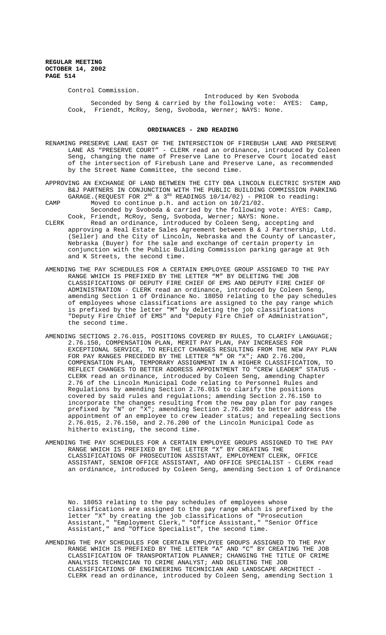Control Commission.

Introduced by Ken Svoboda Seconded by Seng & carried by the following vote: AYES: Camp, Cook, Friendt, McRoy, Seng, Svoboda, Werner; NAYS: None.

## **ORDINANCES - 2ND READING**

- RENAMING PRESERVE LANE EAST OF THE INTERSECTION OF FIREBUSH LANE AND PRESERVE LANE AS "PRESERVE COURT" - CLERK read an ordinance, introduced by Coleen Seng, changing the name of Preserve Lane to Preserve Court located east of the intersection of Firebush Lane and Preserve Lane, as recommended by the Street Name Committee, the second time.
- APPROVING AN EXCHANGE OF LAND BETWEEN THE CITY DBA LINCOLN ELECTRIC SYSTEM AND B&J PARTNERS IN CONJUNCTION WITH THE PUBLIC BUILDING COMMISSION PARKING GARAGE.(REQUEST FOR  $2^{ND}$  &  $3^{RD}$  READINGS 10/14/02) - PRIOR to reading:
- CAMP Moved to continue p.h. and action on 10/21/02. Seconded by Svoboda & carried by the following vote: AYES: Camp, Cook, Friendt, McRoy, Seng, Svoboda, Werner; NAYS: None.
- CLERK Read an ordinance, introduced by Coleen Seng, accepting and approving a Real Estate Sales Agreement between B & J Partnership, Ltd. (Seller) and the City of Lincoln, Nebraska and the County of Lancaster, Nebraska (Buyer) for the sale and exchange of certain property in conjunction with the Public Building Commission parking garage at 9th and K Streets, the second time.
- AMENDING THE PAY SCHEDULES FOR A CERTAIN EMPLOYEE GROUP ASSIGNED TO THE PAY RANGE WHICH IS PREFIXED BY THE LETTER "M" BY DELETING THE JOB CLASSIFICATIONS OF DEPUTY FIRE CHIEF OF EMS AND DEPUTY FIRE CHIEF OF ADMINISTRATION - CLERK read an ordinance, introduced by Coleen Seng, amending Section 1 of Ordinance No. 18050 relating to the pay schedules of employees whose classifications are assigned to the pay range which is prefixed by the letter "M" by deleting the job classifications "Deputy Fire Chief of EMS" and "Deputy Fire Chief of Administration", the second time.
- AMENDING SECTIONS 2.76.015, POSITIONS COVERED BY RULES, TO CLARIFY LANGUAGE; 2.76.150, COMPENSATION PLAN, MERIT PAY PLAN, PAY INCREASES FOR EXCEPTIONAL SERVICE, TO REFLECT CHANGES RESULTING FROM THE NEW PAY PLAN FOR PAY RANGES PRECEDED BY THE LETTER "N" OR "X"; AND 2.76.200, COMPENSATION PLAN, TEMPORARY ASSIGNMENT IN A HIGHER CLASSIFICATION, TO REFLECT CHANGES TO BETTER ADDRESS APPOINTMENT TO "CREW LEADER" STATUS - CLERK read an ordinance, introduced by Coleen Seng, amending Chapter 2.76 of the Lincoln Municipal Code relating to Personnel Rules and Regulations by amending Section 2.76.015 to clarify the positions covered by said rules and regulations; amending Section 2.76.150 to incorporate the changes resulting from the new pay plan for pay ranges prefixed by "N" or "X"; amending Section 2.76.200 to better address the appointment of an employee to crew leader status; and repealing Sections 2.76.015, 2.76.150, and 2.76.200 of the Lincoln Municipal Code as hitherto existing, the second time.
- AMENDING THE PAY SCHEDULES FOR A CERTAIN EMPLOYEE GROUPS ASSIGNED TO THE PAY RANGE WHICH IS PREFIXED BY THE LETTER "X" BY CREATING THE CLASSIFICATIONS OF PROSECUTION ASSISTANT, EMPLOYMENT CLERK, OFFICE ASSISTANT, SENIOR OFFICE ASSISTANT, AND OFFICE SPECIALIST - CLERK read an ordinance, introduced by Coleen Seng, amending Section 1 of Ordinance

No. 18053 relating to the pay schedules of employees whose classifications are assigned to the pay range which is prefixed by the letter "X" by creating the job classifications of "Prosecution Assistant," "Employment Clerk," "Office Assistant," "Senior Office Assistant," and "Office Specialist", the second time.

AMENDING THE PAY SCHEDULES FOR CERTAIN EMPLOYEE GROUPS ASSIGNED TO THE PAY RANGE WHICH IS PREFIXED BY THE LETTER "A" AND "C" BY CREATING THE JOB CLASSIFICATION OF TRANSPORTATION PLANNER; CHANGING THE TITLE OF CRIME ANALYSIS TECHNICIAN TO CRIME ANALYST; AND DELETING THE JOB CLASSIFICATIONS OF ENGINEERING TECHNICIAN AND LANDSCAPE ARCHITECT - CLERK read an ordinance, introduced by Coleen Seng, amending Section 1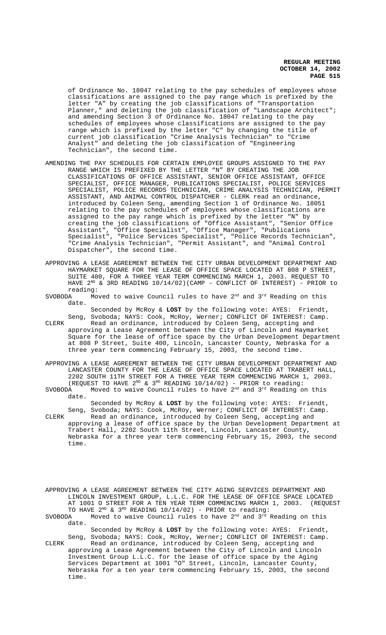of Ordinance No. 18047 relating to the pay schedules of employees whose classifications are assigned to the pay range which is prefixed by the letter "A" by creating the job classifications of "Transportation Planner," and deleting the job classification of "Landscape Architect"; and amending Section 3 of Ordinance No. 18047 relating to the pay schedules of employees whose classifications are assigned to the pay range which is prefixed by the letter "C" by changing the title of current job classification "Crime Analysis Technician" to "Crime Analyst" and deleting the job classification of "Engineering Technician", the second time.

- AMENDING THE PAY SCHEDULES FOR CERTAIN EMPLOYEE GROUPS ASSIGNED TO THE PAY RANGE WHICH IS PREFIXED BY THE LETTER "N" BY CREATING THE JOB CLASSIFICATIONS OF OFFICE ASSISTANT, SENIOR OFFICE ASSISTANT, OFFICE SPECIALIST, OFFICE MANAGER, PUBLICATIONS SPECIALIST, POLICE SERVICES SPECIALIST, POLICE RECORDS TECHNICIAN, CRIME ANALYSIS TECHNICIAN, PERMIT ASSISTANT, AND ANIMAL CONTROL DISPATCHER - CLERK read an ordinance, introduced by Coleen Seng, amending Section 1 of Ordinance No. 18051 relating to the pay schedules of employees whose classifications are assigned to the pay range which is prefixed by the letter "N" by creating the job classifications of "Office Assistant", "Senior Office Assistant", "Office Specialist", "Office Manager", "Publications Specialist", "Police Services Specialist", "Police Records Technician", "Crime Analysis Technician", "Permit Assistant", and "Animal Control Dispatcher", the second time.
- APPROVING A LEASE AGREEMENT BETWEEN THE CITY URBAN DEVELOPMENT DEPARTMENT AND HAYMARKET SQUARE FOR THE LEASE OF OFFICE SPACE LOCATED AT 808 P STREET, SUITE 400, FOR A THREE YEAR TERM COMMENCING MARCH 1, 2003. REQUEST TO HAVE  $2^{ND}$  & 3RD READING 10/14/02)(CAMP - CONFLICT OF INTEREST) - PRIOR to reading:<br>SVOBODA Mo
- Moved to waive Council rules to have  $2<sup>nd</sup>$  and  $3<sup>rd</sup>$  Reading on this date.
- Seconded by McRoy & **LOST** by the following vote: AYES: Friendt, Seng, Svoboda; NAYS: Cook, McRoy, Werner; CONFLICT OF INTEREST: Camp. CLERK Read an ordinance, introduced by Coleen Seng, accepting and approving a Lease Agreement between the City of Lincoln and Haymarket Square for the lease of office space by the Urban Development Department at 808 P Street, Suite 400, Lincoln, Lancaster County, Nebraska for a three year term commencing February 15, 2003, the second time.
- APPROVING A LEASE AGREEMENT BETWEEN THE CITY URBAN DEVELOPMENT DEPARTMENT AND LANCASTER COUNTY FOR THE LEASE OF OFFICE SPACE LOCATED AT TRABERT HALL, 2202 SOUTH 11TH STREET FOR A THREE YEAR TERM COMMENCING MARCH 1, 2003. (REQUEST TO HAVE  $2^{ND}$  &  $3^{RD}$  READING  $10/14/02$ ) - PRIOR to reading:
- SVOBODA Moved to waive Council rules to have  $2<sup>nd</sup>$  and  $3<sup>rd</sup>$  Reading on this date.

Seconded by McRoy & **LOST** by the following vote: AYES: Friendt, Seng, Svoboda; NAYS: Cook, McRoy, Werner; CONFLICT OF INTEREST: Camp. CLERK Read an ordinance, introduced by Coleen Seng, accepting and approving a lease of office space by the Urban Development Department at Trabert Hall, 2202 South 11th Street, Lincoln, Lancaster County, Nebraska for a three year term commencing February 15, 2003, the second time.

APPROVING A LEASE AGREEMENT BETWEEN THE CITY AGING SERVICES DEPARTMENT AND LINCOLN INVESTMENT GROUP, L.L.C. FOR THE LEASE OF OFFICE SPACE LOCATED AT 1001 O STREET FOR A TEN YEAR TERM COMMENCING MARCH 1, 2003. (REQUEST TO HAVE  $2^{ND}$  &  $3^{RD}$  READING 10/14/02) - PRIOR to reading:

SVOBODA Moved to waive Council rules to have  $2^{nd}$  and  $3^{rd}$  Reading on this date.

Seconded by McRoy & **LOST** by the following vote: AYES: Friendt, Seng, Svoboda; NAYS: Cook, McRoy, Werner; CONFLICT OF INTEREST: Camp.

CLERK Read an ordinance, introduced by Coleen Seng, accepting and approving a Lease Agreement between the City of Lincoln and Lincoln Investment Group L.L.C. for the lease of office space by the Aging Services Department at 1001 "O" Street, Lincoln, Lancaster County, Nebraska for a ten year term commencing February 15, 2003, the second time.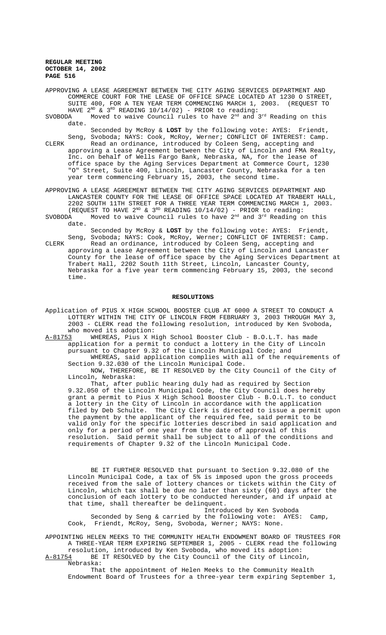APPROVING A LEASE AGREEMENT BETWEEN THE CITY AGING SERVICES DEPARTMENT AND COMMERCE COURT FOR THE LEASE OF OFFICE SPACE LOCATED AT 1230 O STREET, SUITE 400, FOR A TEN YEAR TERM COMMENCING MARCH 1, 2003. (REQUEST TO

HAVE  $2^{ND}$  &  $3^{RD}$  READING 10/14/02) - PRIOR to reading:<br>SVOBODA Moved to waive Council rules to have  $2^{nd}$  and Moved to waive Council rules to have  $2<sup>nd</sup>$  and  $3<sup>rd</sup>$  Reading on this date.

Seconded by McRoy & **LOST** by the following vote: AYES: Friendt, Seng, Svoboda; NAYS: Cook, McRoy, Werner; CONFLICT OF INTEREST: Camp.

CLERK Read an ordinance, introduced by Coleen Seng, accepting and approving a Lease Agreement between the City of Lincoln and FMA Realty, Inc. on behalf of Wells Fargo Bank, Nebraska, NA, for the lease of office space by the Aging Services Department at Commerce Court, 1230 "O" Street, Suite 400, Lincoln, Lancaster County, Nebraska for a ten year term commencing February 15, 2003, the second time.

APPROVING A LEASE AGREEMENT BETWEEN THE CITY AGING SERVICES DEPARTMENT AND LANCASTER COUNTY FOR THE LEASE OF OFFICE SPACE LOCATED AT TRABERT HALL, 2202 SOUTH 11TH STREET FOR A THREE YEAR TERM COMMENCING MARCH 1, 2003. (REQUEST TO HAVE  $2^{ND}$  &  $3^{RD}$  READING  $10/14/02$ ) - PRIOR to reading:

SVOBODA  $\sim$  Moved to waive Council rules to have 2<sup>nd</sup> and 3<sup>rd</sup> Reading on this date.

Seconded by McRoy & **LOST** by the following vote: AYES: Friendt, Seng, Svoboda; NAYS: Cook, McRoy, Werner; CONFLICT OF INTEREST: Camp.

CLERK Read an ordinance, introduced by Coleen Seng, accepting and approving a Lease Agreement between the City of Lincoln and Lancaster County for the lease of office space by the Aging Services Department at Trabert Hall, 2202 South 11th Street, Lincoln, Lancaster County, Nebraska for a five year term commencing February 15, 2003, the second time.

#### **RESOLUTIONS**

Application of PIUS X HIGH SCHOOL BOOSTER CLUB AT 6000 A STREET TO CONDUCT A LOTTERY WITHIN THE CITY OF LINCOLN FROM FEBRUARY 3, 2003 THROUGH MAY 3, 2003 - CLERK read the following resolution, introduced by Ken Svoboda, who moved its adoption:<br>A-81753 WHEREAS, Pius X H

WHEREAS, Pius X High School Booster Club - B.O.L.T. has made application for a permit to conduct a lottery in the City of Lincoln pursuant to Chapter 9.32 of the Lincoln Municipal Code; and WHEREAS, said application complies with all of the requirements of

Section 9.32.030 of the Lincoln Municipal Code. NOW, THEREFORE, BE IT RESOLVED by the City Council of the City of

Lincoln, Nebraska:

That, after public hearing duly had as required by Section 9.32.050 of the Lincoln Municipal Code, the City Council does hereby grant a permit to Pius X High School Booster Club - B.O.L.T. to conduct a lottery in the City of Lincoln in accordance with the application filed by Deb Schulte. The City Clerk is directed to issue a permit upon the payment by the applicant of the required fee, said permit to be valid only for the specific lotteries described in said application and only for a period of one year from the date of approval of this resolution. Said permit shall be subject to all of the conditions and requirements of Chapter 9.32 of the Lincoln Municipal Code.

BE IT FURTHER RESOLVED that pursuant to Section 9.32.080 of the Lincoln Municipal Code, a tax of 5% is imposed upon the gross proceeds received from the sale of lottery chances or tickets within the City of Lincoln, which tax shall be due no later than sixty (60) days after the conclusion of each lottery to be conducted hereunder, and if unpaid at that time, shall thereafter be delinquent.

Introduced by Ken Svoboda Seconded by Seng & carried by the following vote: AYES: Camp, Cook, Friendt, McRoy, Seng, Svoboda, Werner; NAYS: None.

APPOINTING HELEN MEEKS TO THE COMMUNITY HEALTH ENDOWMENT BOARD OF TRUSTEES FOR A THREE-YEAR TERM EXPIRING SEPTEMBER 1, 2005 - CLERK read the following resolution, introduced by Ken Svoboda, who moved its adoption:

A-81754 BE IT RESOLVED by the City Council of the City of Lincoln, Nebraska:

That the appointment of Helen Meeks to the Community Health Endowment Board of Trustees for a three-year term expiring September 1,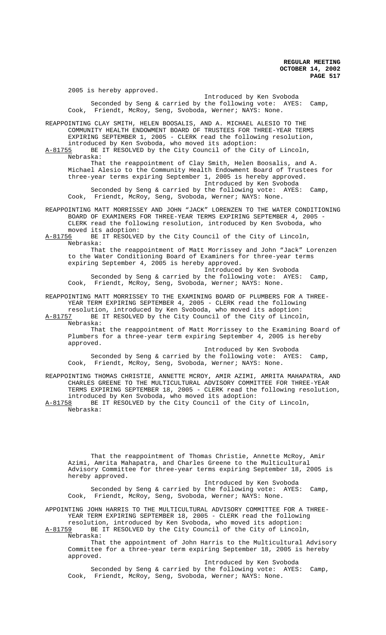2005 is hereby approved. Introduced by Ken Svoboda Seconded by Seng & carried by the following vote: AYES: Camp, Cook, Friendt, McRoy, Seng, Svoboda, Werner; NAYS: None. REAPPOINTING CLAY SMITH, HELEN BOOSALIS, AND A. MICHAEL ALESIO TO THE COMMUNITY HEALTH ENDOWMENT BOARD OF TRUSTEES FOR THREE-YEAR TERMS EXPIRING SEPTEMBER 1, 2005 - CLERK read the following resolution, introduced by Ken Svoboda, who moved its adoption:<br>A-81755 BE IT RESOLVED by the City Council of the Cit BE IT RESOLVED by the City Council of the City of Lincoln, Nebraska: That the reappointment of Clay Smith, Helen Boosalis, and A. Michael Alesio to the Community Health Endowment Board of Trustees for three-year terms expiring September 1, 2005 is hereby approved. Introduced by Ken Svoboda Seconded by Seng & carried by the following vote: AYES: Camp, Cook, Friendt, McRoy, Seng, Svoboda, Werner; NAYS: None. REAPPOINTING MATT MORRISSEY AND JOHN "JACK" LORENZEN TO THE WATER CONDITIONING BOARD OF EXAMINERS FOR THREE-YEAR TERMS EXPIRING SEPTEMBER 4, 2005 - CLERK read the following resolution, introduced by Ken Svoboda, who moved its adoption:<br>A-81756 BE IT RESOLVEI BE IT RESOLVED by the City Council of the City of Lincoln, Nebraska: That the reappointment of Matt Morrissey and John "Jack" Lorenzen to the Water Conditioning Board of Examiners for three-year terms expiring September 4, 2005 is hereby approved. Introduced by Ken Svoboda Seconded by Seng & carried by the following vote: AYES: Camp, Cook, Friendt, McRoy, Seng, Svoboda, Werner; NAYS: None. REAPPOINTING MATT MORRISSEY TO THE EXAMINING BOARD OF PLUMBERS FOR A THREE-YEAR TERM EXPIRING SEPTEMBER 4, 2005 - CLERK read the following resolution, introduced by Ken Svoboda, who moved its adoption: A-81757 BE IT RESOLVED by the City Council of the City of Lincoln, Nebraska: That the reappointment of Matt Morrissey to the Examining Board of Plumbers for a three-year term expiring September 4, 2005 is hereby approved. Introduced by Ken Svoboda Seconded by Seng & carried by the following vote: AYES: Camp, Cook, Friendt, McRoy, Seng, Svoboda, Werner; NAYS: None. REAPPOINTING THOMAS CHRISTIE, ANNETTE MCROY, AMIR AZIMI, AMRITA MAHAPATRA, AND CHARLES GREENE TO THE MULTICULTURAL ADVISORY COMMITTEE FOR THREE-YEAR TERMS EXPIRING SEPTEMBER 18, 2005 - CLERK read the following resolution, introduced by Ken Svoboda, who moved its adoption:<br>A-81758 BE IT RESOLVED by the City Council of the Ci BE IT RESOLVED by the City Council of the City of Lincoln, Nebraska: That the reappointment of Thomas Christie, Annette McRoy, Amir Azimi, Amrita Mahapatra, and Charles Greene to the Multicultural Advisory Committee for three-year terms expiring September 18, 2005 is

hereby approved. Introduced by Ken Svoboda Seconded by Seng & carried by the following vote: AYES: Camp, Cook, Friendt, McRoy, Seng, Svoboda, Werner; NAYS: None.

APPOINTING JOHN HARRIS TO THE MULTICULTURAL ADVISORY COMMITTEE FOR A THREE-YEAR TERM EXPIRING SEPTEMBER 18, 2005 - CLERK read the following

resolution, introduced by Ken Svoboda, who moved its adoption: A-81759 BE IT RESOLVED by the City Council of the City of Lincoln, Nebraska:

That the appointment of John Harris to the Multicultural Advisory Committee for a three-year term expiring September 18, 2005 is hereby approved.

Introduced by Ken Svoboda Seconded by Seng & carried by the following vote: AYES: Camp, Cook, Friendt, McRoy, Seng, Svoboda, Werner; NAYS: None.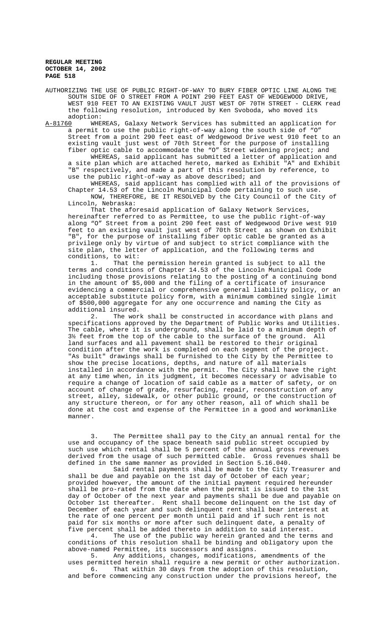AUTHORIZING THE USE OF PUBLIC RIGHT-OF-WAY TO BURY FIBER OPTIC LINE ALONG THE SOUTH SIDE OF O STREET FROM A POINT 290 FEET EAST OF WEDGEWOOD DRIVE, WEST 910 FEET TO AN EXISTING VAULT JUST WEST OF 70TH STREET - CLERK read the following resolution, introduced by Ken Svoboda, who moved its adoption:

A-81760 WHEREAS, Galaxy Network Services has submitted an application for a permit to use the public right-of-way along the south side of "O" Street from a point 290 feet east of Wedgewood Drive west 910 feet to an existing vault just west of 70th Street for the purpose of installing fiber optic cable to accommodate the "O" Street widening project; and WHEREAS, said applicant has submitted a letter of application and a site plan which are attached hereto, marked as Exhibit "A" and Exhibit "B" respectively, and made a part of this resolution by reference, to

use the public right-of-way as above described; and WHEREAS, said applicant has complied with all of the provisions of

Chapter 14.53 of the Lincoln Municipal Code pertaining to such use. NOW, THEREFORE, BE IT RESOLVED by the City Council of the City of Lincoln, Nebraska:

That the aforesaid application of Galaxy Network Services, hereinafter referred to as Permittee, to use the public right-of-way along "O" Street from a point 290 feet east of Wedgewood Drive west 910 feet to an existing vault just west of 70th Street as shown on Exhibit "B", for the purpose of installing fiber optic cable be granted as a privilege only by virtue of and subject to strict compliance with the site plan, the letter of application, and the following terms and conditions, to wit:

1. That the permission herein granted is subject to all the terms and conditions of Chapter 14.53 of the Lincoln Municipal Code including those provisions relating to the posting of a continuing bond in the amount of \$5,000 and the filing of a certificate of insurance evidencing a commercial or comprehensive general liability policy, or an acceptable substitute policy form, with a minimum combined single limit of \$500,000 aggregate for any one occurrence and naming the City as additional insured.

2. The work shall be constructed in accordance with plans and specifications approved by the Department of Public Works and Utilities. The cable, where it is underground, shall be laid to a minimum depth of 3½ feet from the top of the cable to the surface of the ground. All land surfaces and all pavement shall be restored to their original condition after the work is completed on each segment of the project. "As built" drawings shall be furnished to the City by the Permittee to show the precise locations, depths, and nature of all materials installed in accordance with the permit. The City shall have the right at any time when, in its judgment, it becomes necessary or advisable to require a change of location of said cable as a matter of safety, or on account of change of grade, resurfacing, repair, reconstruction of any street, alley, sidewalk, or other public ground, or the construction of any structure thereon, or for any other reason, all of which shall be done at the cost and expense of the Permittee in a good and workmanlike manner.

3. The Permittee shall pay to the City an annual rental for the use and occupancy of the space beneath said public street occupied by such use which rental shall be 5 percent of the annual gross revenues derived from the usage of such permitted cable. Gross revenues shall be defined in the same manner as provided in Section 5.16.040.

Said rental payments shall be made to the City Treasurer and shall be due and payable on the 1st day of October of each year; provided however, the amount of the initial payment required hereunder shall be pro-rated from the date when the permit is issued to the 1st day of October of the next year and payments shall be due and payable on October 1st thereafter. Rent shall become delinquent on the 1st day of December of each year and such delinquent rent shall bear interest at the rate of one percent per month until paid and if such rent is not paid for six months or more after such delinquent date, a penalty of five percent shall be added thereto in addition to said interest.

4. The use of the public way herein granted and the terms and conditions of this resolution shall be binding and obligatory upon the above-named Permittee, its successors and assigns.

Any additions, changes, modifications, amendments of the uses permitted herein shall require a new permit or other authorization. 6. That within 30 days from the adoption of this resolution, and before commencing any construction under the provisions hereof, the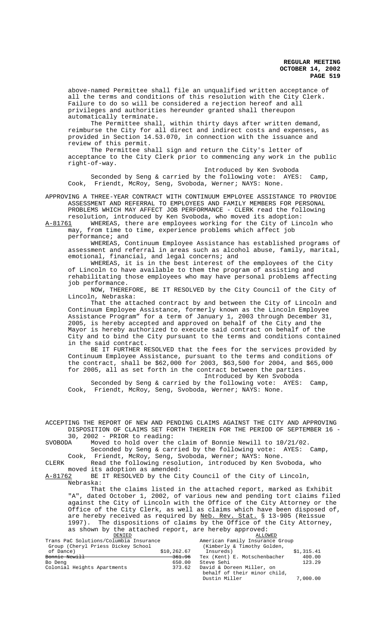above-named Permittee shall file an unqualified written acceptance of all the terms and conditions of this resolution with the City Clerk. Failure to do so will be considered a rejection hereof and all privileges and authorities hereunder granted shall thereupon automatically terminate.

The Permittee shall, within thirty days after written demand, reimburse the City for all direct and indirect costs and expenses, as provided in Section 14.53.070, in connection with the issuance and review of this permit.

The Permittee shall sign and return the City's letter of acceptance to the City Clerk prior to commencing any work in the public right-of-way.

Introduced by Ken Svoboda Seconded by Seng & carried by the following vote: AYES: Camp, Cook, Friendt, McRoy, Seng, Svoboda, Werner; NAYS: None.

APPROVING A THREE-YEAR CONTRACT WITH CONTINUUM EMPLOYEE ASSISTANCE TO PROVIDE ASSESSMENT AND REFERRAL TO EMPLOYEES AND FAMILY MEMBERS FOR PERSONAL PROBLEMS WHICH MAY AFFECT JOB PERFORMANCE - CLERK read the following

resolution, introduced by Ken Svoboda, who moved its adoption:<br>A-81761 WHEREAS, there are employees working for the City of Lin WHEREAS, there are employees working for the City of Lincoln who

may, from time to time, experience problems which affect job performance; and

WHEREAS, Continuum Employee Assistance has established programs of assessment and referral in areas such as alcohol abuse, family, marital, emotional, financial, and legal concerns; and

WHEREAS, it is in the best interest of the employees of the City of Lincoln to have available to them the program of assisting and rehabilitating those employees who may have personal problems affecting job performance.

NOW, THEREFORE, BE IT RESOLVED by the City Council of the City of Lincoln, Nebraska:

That the attached contract by and between the City of Lincoln and Continuum Employee Assistance, formerly known as the Lincoln Employee Assistance Program" for a term of January 1, 2003 through December 31, 2005, is hereby accepted and approved on behalf of the City and the Mayor is hereby authorized to execute said contract on behalf of the City and to bind the City pursuant to the terms and conditions contained in the said contract.

BE IT FURTHER RESOLVED that the fees for the services provided by Continuum Employee Assistance, pursuant to the terms and conditions of the contract, shall be \$62,000 for 2003, \$63,500 for 2004, and \$65,000 for 2005, all as set forth in the contract between the parties. Introduced by Ken Svoboda

Seconded by Seng & carried by the following vote: AYES: Camp, Cook, Friendt, McRoy, Seng, Svoboda, Werner; NAYS: None.

ACCEPTING THE REPORT OF NEW AND PENDING CLAIMS AGAINST THE CITY AND APPROVING DISPOSITION OF CLAIMS SET FORTH THEREIN FOR THE PERIOD OF SEPTEMBER 16 - 30, 2002 - PRIOR to reading: SVOBODA Moved to hold over the claim of Bonnie Newill to 10/21/02. Seconded by Seng & carried by the following vote: AYES: Camp, Cook, Friendt, McRoy, Seng, Svoboda, Werner; NAYS: None. CLERK Read the following resolution, introduced by Ken Svoboda, who moved its adoption as amended:<br>A-81762 BE IT RESOLVED by the Ci BE IT RESOLVED by the City Council of the City of Lincoln, Nebraska: That the claims listed in the attached report, marked as Exhibit "A", dated October 1, 2002, of various new and pending tort claims filed against the City of Lincoln with the Office of the City Attorney or the Office of the City Clerk, as well as claims which have been disposed of, are hereby received as required by Neb. Rev. Stat. § 13-905 (Reissue 1997). The dispositions of claims by the Office of the City Attorney, as shown by the attached report, are hereby approved:<br>
<u>DENIED</u><br>
aC Solutions/Columbia Insurance American Family Insurance Group DENIED ALLOWED AND ALLOWED A SALLOWED AND ALLOWED A LILLOWED AND ALLOWED A LILLOWED AND ALLOWED A LILLOWED AND  $\overline{A}$ Trans PaC Solutions/Columbia Insurance American Family Insurance Group Group (Cheryl Priess Dickey School (Kimberly & Timothy Golden,<br>of Dance)  $$10,262.67$  Insureds) \$10,262.67 Insureds) \$1,315.41<br>361.96 Tex (Kent) E. Motschenbacher 400.00 Bonnie Newill 361.96 Tex (Kent) E. Motschenbacher 400.00 Bo Deng 650.00 Steve Sehi 123.29 (123.29 Steve Sehi 123.29 Steve Sehi 123.29 Steve Sehi 123.29 Steve Sehi 123.29 Steve Sehi 123.29 Steve Sehi 123.29 Steve Sehi 123.29 Steve Sehi 123.29 Steve Sehi 123.29 Steve Sehi 123.29 S Colonial Heights Apartments 373.62 David & Doreen Miller, on

 behalf of their minor child, Dustin Miller 7,000.00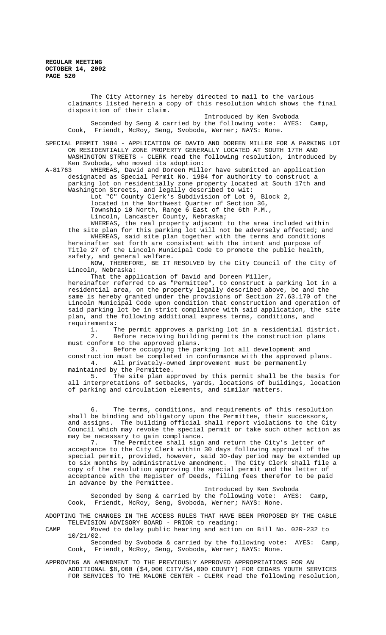The City Attorney is hereby directed to mail to the various claimants listed herein a copy of this resolution which shows the final disposition of their claim.

 Introduced by Ken Svoboda Seconded by Seng & carried by the following vote: AYES: Camp, Cook, Friendt, McRoy, Seng, Svoboda, Werner; NAYS: None.

SPECIAL PERMIT 1984 - APPLICATION OF DAVID AND DOREEN MILLER FOR A PARKING LOT ON RESIDENTIALLY ZONE PROPERTY GENERALLY LOCATED AT SOUTH 17TH AND WASHINGTON STREETS - CLERK read the following resolution, introduced by Ken Svoboda, who moved its adoption:<br>A-81763 WHEREAS, David and Doreen Mill

WHEREAS, David and Doreen Miller have submitted an application designated as Special Permit No. 1984 for authority to construct a parking lot on residentially zone property located at South 17th and Washington Streets, and legally described to wit:

Lot "C" County Clerk's Subdivision of Lot 9, Block 2, located in the Northwest Quarter of Section 36, Township 10 North, Range 6 East of the 6th P.M.,

Lincoln, Lancaster County, Nebraska;

WHEREAS, the real property adjacent to the area included within the site plan for this parking lot will not be adversely affected; and WHEREAS, said site plan together with the terms and conditions hereinafter set forth are consistent with the intent and purpose of Title 27 of the Lincoln Municipal Code to promote the public health, safety, and general welfare.

NOW, THEREFORE, BE IT RESOLVED by the City Council of the City of Lincoln, Nebraska:

That the application of David and Doreen Miller, hereinafter referred to as "Permittee", to construct a parking lot in a residential area, on the property legally described above, be and the same is hereby granted under the provisions of Section 27.63.170 of the Lincoln Municipal Code upon condition that construction and operation of said parking lot be in strict compliance with said application, the site plan, and the following additional express terms, conditions, and requirements:

1. The permit approves a parking lot in a residential district.<br>2. Before receiving building permits the construction plans Before receiving building permits the construction plans must conform to the approved plans.

3. Before occupying the parking lot all development and construction must be completed in conformance with the approved plans.<br>4. All privately-owned improvement must be permanently All privately-owned improvement must be permanently maintained by the Permittee.

5. The site plan approved by this permit shall be the basis for all interpretations of setbacks, yards, locations of buildings, location of parking and circulation elements, and similar matters.

6. The terms, conditions, and requirements of this resolution shall be binding and obligatory upon the Permittee, their successors, and assigns. The building official shall report violations to the City Council which may revoke the special permit or take such other action as may be necessary to gain compliance.<br>7. The Permittee shall sign

The Permittee shall sign and return the City's letter of acceptance to the City Clerk within 30 days following approval of the special permit, provided, however, said 30-day period may be extended up to six months by administrative amendment. The City Clerk shall file a copy of the resolution approving the special permit and the letter of acceptance with the Register of Deeds, filing fees therefor to be paid in advance by the Permittee.

Introduced by Ken Svoboda Seconded by Seng & carried by the following vote: AYES: Camp, Cook, Friendt, McRoy, Seng, Svoboda, Werner; NAYS: None.

ADOPTING THE CHANGES IN THE ACCESS RULES THAT HAVE BEEN PROPOSED BY THE CABLE TELEVISION ADVISORY BOARD - PRIOR to reading:

CAMP Moved to delay public hearing and action on Bill No. 02R-232 to 10/21/02.

Seconded by Svoboda & carried by the following vote: AYES: Camp, Cook, Friendt, McRoy, Seng, Svoboda, Werner; NAYS: None.

APPROVING AN AMENDMENT TO THE PREVIOUSLY APPROVED APPROPRIATIONS FOR AN ADDITIONAL \$8,000 (\$4,000 CITY/\$4,000 COUNTY) FOR CEDARS YOUTH SERVICES FOR SERVICES TO THE MALONE CENTER - CLERK read the following resolution,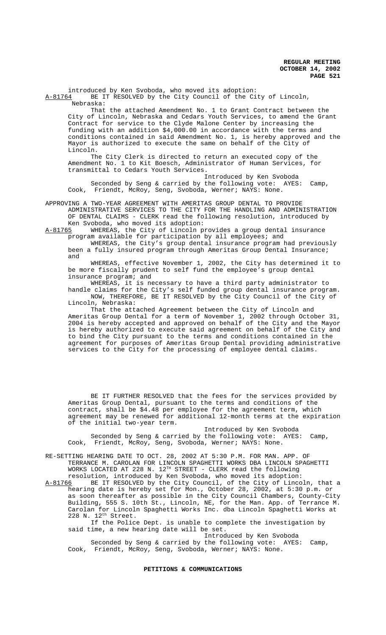introduced by Ken Svoboda, who moved its adoption:<br>A-81764 BE IT RESOLVED by the City Council of the Ci BE IT RESOLVED by the City Council of the City of Lincoln, Nebraska:

That the attached Amendment No. 1 to Grant Contract between the City of Lincoln, Nebraska and Cedars Youth Services, to amend the Grant Contract for service to the Clyde Malone Center by increasing the funding with an addition \$4,000.00 in accordance with the terms and conditions contained in said Amendment No. 1, is hereby approved and the Mayor is authorized to execute the same on behalf of the City of Lincoln.

The City Clerk is directed to return an executed copy of the Amendment No. 1 to Kit Boesch, Administrator of Human Services, for transmittal to Cedars Youth Services.

Introduced by Ken Svoboda Seconded by Seng & carried by the following vote: AYES: Camp, Cook, Friendt, McRoy, Seng, Svoboda, Werner; NAYS: None.

APPROVING A TWO-YEAR AGREEMENT WITH AMERITAS GROUP DENTAL TO PROVIDE ADMINISTRATIVE SERVICES TO THE CITY FOR THE HANDLING AND ADMINISTRATION OF DENTAL CLAIMS - CLERK read the following resolution, introduced by Ken Svoboda, who moved its adoption:<br>A-81765 WHEREAS, the City of Lincoln p

WHEREAS, the City of Lincoln provides a group dental insurance program available for participation by all employees; and

WHEREAS, the City's group dental insurance program had previously been a fully insured program through Ameritas Group Dental Insurance; and

WHEREAS, effective November 1, 2002, the City has determined it to be more fiscally prudent to self fund the employee's group dental insurance program; and

WHEREAS, it is necessary to have a third party administrator to handle claims for the City's self funded group dental insurance program.

NOW, THEREFORE, BE IT RESOLVED by the City Council of the City of Lincoln, Nebraska:

That the attached Agreement between the City of Lincoln and Ameritas Group Dental for a term of November 1, 2002 through October 31, 2004 is hereby accepted and approved on behalf of the City and the Mayor is hereby authorized to execute said agreement on behalf of the City and to bind the City pursuant to the terms and conditions contained in the agreement for purposes of Ameritas Group Dental providing administrative services to the City for the processing of employee dental claims.

BE IT FURTHER RESOLVED that the fees for the services provided by Ameritas Group Dental, pursuant to the terms and conditions of the contract, shall be \$4.48 per employee for the agreement term, which agreement may be renewed for additional 12-month terms at the expiration of the initial two-year term.

Introduced by Ken Svoboda Seconded by Seng & carried by the following vote: AYES: Camp, Cook, Friendt, McRoy, Seng, Svoboda, Werner; NAYS: None.

RE-SETTING HEARING DATE TO OCT. 28, 2002 AT 5:30 P.M. FOR MAN. APP. OF TERRANCE M. CAROLAN FOR LINCOLN SPAGHETTI WORKS DBA LINCOLN SPAGHETTI WORKS LOCATED AT 228 N. 12TH STREET - CLERK read the following

resolution, introduced by Ken Svoboda, who moved its adoption:<br>A-81766 BE IT RESOLVED by the City Council, of the City of Linco A-81766 BE IT RESOLVED by the City Council, of the City of Lincoln, that a hearing date is hereby set for Mon., October 28, 2002, at 5:30 p.m. or as soon thereafter as possible in the City Council Chambers, County-City Building, 555 S. 10th St., Lincoln, NE, for the Man. App. of Terrance M. Carolan for Lincoln Spaghetti Works Inc. dba Lincoln Spaghetti Works at 228 N. 12th Street.

 If the Police Dept. is unable to complete the investigation by said time, a new hearing date will be set.

Introduced by Ken Svoboda

Seconded by Seng & carried by the following vote: AYES: Camp, Cook, Friendt, McRoy, Seng, Svoboda, Werner; NAYS: None.

# **PETITIONS & COMMUNICATIONS**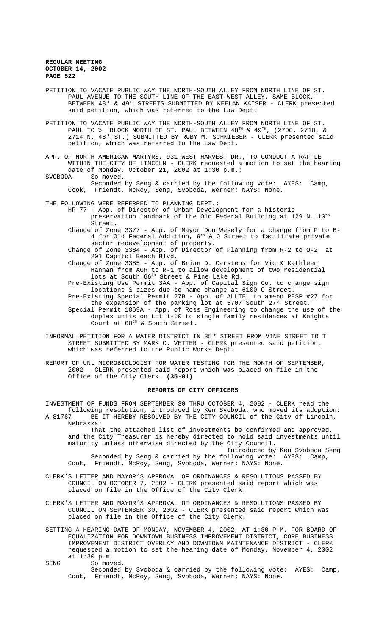- PETITION TO VACATE PUBLIC WAY THE NORTH-SOUTH ALLEY FROM NORTH LINE OF ST. PAUL AVENUE TO THE SOUTH LINE OF THE EAST-WEST ALLEY, SAME BLOCK, BETWEEN 48TH & 49TH STREETS SUBMITTED BY KEELAN KAISER - CLERK presented said petition, which was referred to the Law Dept.
- PETITION TO VACATE PUBLIC WAY THE NORTH-SOUTH ALLEY FROM NORTH LINE OF ST. PAUL TO  $\frac{1}{2}$  BLOCK NORTH OF ST. PAUL BETWEEN  $48^{\text{TH}}$  &  $49^{\text{TH}}$ , (2700, 2710, & PAUL 10 % BLOCK NONTH OF ST. FILE THE SERVICE - CLERK presented said petition, which was referred to the Law Dept.
- APP. OF NORTH AMERICAN MARTYRS, 931 WEST HARVEST DR., TO CONDUCT A RAFFLE WITHIN THE CITY OF LINCOLN - CLERK requested a motion to set the hearing date of Monday, October 21, 2002 at 1:30 p.m.: SVOBODA So moved.
	- Seconded by Seng & carried by the following vote: AYES: Camp, Cook, Friendt, McRoy, Seng, Svoboda, Werner; NAYS: None.
- THE FOLLOWING WERE REFERRED TO PLANNING DEPT.:
	- HP 77 App. of Director of Urban Development for a historic preservation landmark of the Old Federal Building at 129 N. 10<sup>th</sup> Street.
	- Change of Zone 3377 App. of Mayor Don Wesely for a change from P to B-4 for Old Federal Addition,  $9^{th}$  & O Street to facilitate private sector redevelopment of property.
	- Change of Zone 3384 App. of Director of Planning from R-2 to O-2 at 201 Capitol Beach Blvd.
	- Change of Zone 3385 App. of Brian D. Carstens for Vic & Kathleen Hannan from AGR to R-1 to allow development of two residential lots at South 66<sup>th</sup> Street & Pine Lake Rd.
	- Pre-Existing Use Permit 3AA App. of Capital Sign Co. to change sign locations & sizes due to name change at 6100 O Street.
	- Pre-Existing Special Permit 27B App. of ALLTEL to amend PESP #27 for the expansion of the parking lot at 5707 South 27<sup>th</sup> Street.
	- Special Permit 1869A App. of Ross Engineering to change the use of the duplex units on Lot 1-10 to single family residences at Knights Court at  $60^{\text{th}}$  & South Street.
- INFORMAL PETITION FOR A WATER DISTRICT IN 35TH STREET FROM VINE STREET TO T STREET SUBMITTED BY MARK C. VETTER - CLERK presented said petition, which was referred to the Public Works Dept.
- REPORT OF UNL MICROBIOLOGIST FOR WATER TESTING FOR THE MONTH OF SEPTEMBER, 2002 - CLERK presented said report which was placed on file in the Office of the City Clerk. **(35-01)**

## **REPORTS OF CITY OFFICERS**

INVESTMENT OF FUNDS FROM SEPTEMBER 30 THRU OCTOBER 4, 2002 - CLERK read the following resolution, introduced by Ken Svoboda, who moved its adoption: A-81767 BE IT HEREBY RESOLVED BY THE CITY COUNCIL of the City of Lincoln, Nebraska:

That the attached list of investments be confirmed and approved, and the City Treasurer is hereby directed to hold said investments until maturity unless otherwise directed by the City Council.

Introduced by Ken Svoboda Seng Seconded by Seng & carried by the following vote: AYES: Camp, Cook, Friendt, McRoy, Seng, Svoboda, Werner; NAYS: None.

- CLERK'S LETTER AND MAYOR'S APPROVAL OF ORDINANCES & RESOLUTIONS PASSED BY COUNCIL ON OCTOBER 7, 2002 - CLERK presented said report which was placed on file in the Office of the City Clerk.
- CLERK'S LETTER AND MAYOR'S APPROVAL OF ORDINANCES & RESOLUTIONS PASSED BY COUNCIL ON SEPTEMBER 30, 2002 - CLERK presented said report which was placed on file in the Office of the City Clerk.
- SETTING A HEARING DATE OF MONDAY, NOVEMBER 4, 2002, AT 1:30 P.M. FOR BOARD OF EQUALIZATION FOR DOWNTOWN BUSINESS IMPROVEMENT DISTRICT, CORE BUSINESS IMPROVEMENT DISTRICT OVERLAY AND DOWNTOWN MAINTENANCE DISTRICT - CLERK requested a motion to set the hearing date of Monday, November 4, 2002 at 1:30 p.m.
- SENG So moved. Seconded by Svoboda & carried by the following vote: AYES: Camp, Cook, Friendt, McRoy, Seng, Svoboda, Werner; NAYS: None.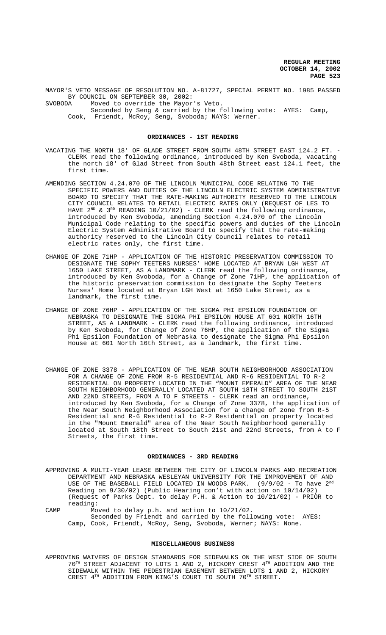MAYOR'S VETO MESSAGE OF RESOLUTION NO. A-81727, SPECIAL PERMIT NO. 1985 PASSED BY COUNCIL ON SEPTEMBER 30, 2002:<br>SVOBODA Moved to override the Mayor

Moved to override the Mayor's Veto. Seconded by Seng & carried by the following vote: AYES: Camp, Cook, Friendt, McRoy, Seng, Svoboda; NAYS: Werner.

#### **ORDINANCES - 1ST READING**

- VACATING THE NORTH 18' OF GLADE STREET FROM SOUTH 48TH STREET EAST 124.2 FT. CLERK read the following ordinance, introduced by Ken Svoboda, vacating the north 18' of Glad Street from South 48th Street east 124.1 feet, the first time.
- AMENDING SECTION 4.24.070 OF THE LINCOLN MUNICIPAL CODE RELATING TO THE SPECIFIC POWERS AND DUTIES OF THE LINCOLN ELECTRIC SYSTEM ADMINISTRATIVE BOARD TO SPECIFY THAT THE RATE-MAKING AUTHORITY RESERVED TO THE LINCOLN CITY COUNCIL RELATES TO RETAIL ELECTRIC RATES ONLY (REQUEST OF LES TO HAVE  $2^{ND}$  &  $3^{RD}$  READING 10/21/02) - CLERK read the following ordinance, introduced by Ken Svoboda, amending Section 4.24.070 of the Lincoln Municipal Code relating to the specific powers and duties of the Lincoln Electric System Administrative Board to specify that the rate-making authority reserved to the Lincoln City Council relates to retail electric rates only, the first time.
- CHANGE OF ZONE 71HP APPLICATION OF THE HISTORIC PRESERVATION COMMISSION TO DESIGNATE THE SOPHY TEETERS NURSES' HOME LOCATED AT BRYAN LGH WEST AT 1650 LAKE STREET, AS A LANDMARK - CLERK read the following ordinance, introduced by Ken Svoboda, for a Change of Zone 71HP, the application of the historic preservation commission to designate the Sophy Teeters Nurses' Home located at Bryan LGH West at 1650 Lake Street, as a landmark, the first time.
- CHANGE OF ZONE 76HP APPLICATION OF THE SIGMA PHI EPSILON FOUNDATION OF NEBRASKA TO DESIGNATE THE SIGMA PHI EPSILON HOUSE AT 601 NORTH 16TH STREET, AS A LANDMARK - CLERK read the following ordinance, introduced by Ken Svoboda, for Change of Zone 76HP, the application of the Sigma Phi Epsilon Foundation of Nebraska to designate the Sigma Phi Epsilon House at 601 North 16th Street, as a landmark, the first time.
- CHANGE OF ZONE 3378 APPLICATION OF THE NEAR SOUTH NEIGHBORHOOD ASSOCIATION FOR A CHANGE OF ZONE FROM R-5 RESIDENTIAL AND R-6 RESIDENTIAL TO R-2 RESIDENTIAL ON PROPERTY LOCATED IN THE "MOUNT EMERALD" AREA OF THE NEAR SOUTH NEIGHBORHOOD GENERALLY LOCATED AT SOUTH 18TH STREET TO SOUTH 21ST AND 22ND STREETS, FROM A TO F STREETS - CLERK read an ordinance, introduced by Ken Svoboda, for a Change of Zone 3378, the application of the Near South Neighborhood Association for a change of zone from R-5 Residential and R-6 Residential to R-2 Residential on property located in the "Mount Emerald" area of the Near South Neighborhood generally located at South 18th Street to South 21st and 22nd Streets, from A to F Streets, the first time.

## **ORDINANCES - 3RD READING**

APPROVING A MULTI-YEAR LEASE BETWEEN THE CITY OF LINCOLN PARKS AND RECREATION DEPARTMENT AND NEBRASKA WESLEYAN UNIVERSITY FOR THE IMPROVEMENT OF AND USE OF THE BASEBALL FIELD LOCATED IN WOODS PARK. (9/9/02 - To have 2<sup>nd</sup> Reading on 9/30/02) (Public Hearing con't with action on 10/14/02) (Request of Parks Dept. to delay P.H. & Action to 10/21/02) - PRIOR to reading:

CAMP Moved to delay p.h. and action to 10/21/02. Seconded by Friendt and carried by the following vote: AYES: Camp, Cook, Friendt, McRoy, Seng, Svoboda, Werner; NAYS: None.

## **MISCELLANEOUS BUSINESS**

APPROVING WAIVERS OF DESIGN STANDARDS FOR SIDEWALKS ON THE WEST SIDE OF SOUTH  $70^{\text{TH}}$  STREET ADJACENT TO LOTS 1 AND 2, HICKORY CREST  $4^{\text{TH}}$  ADDITION AND THE SIDEWALK WITHIN THE PEDESTRIAN EASEMENT BETWEEN LOTS 1 AND 2, HICKORY CREST 4TH ADDITION FROM KING'S COURT TO SOUTH 70TH STREET.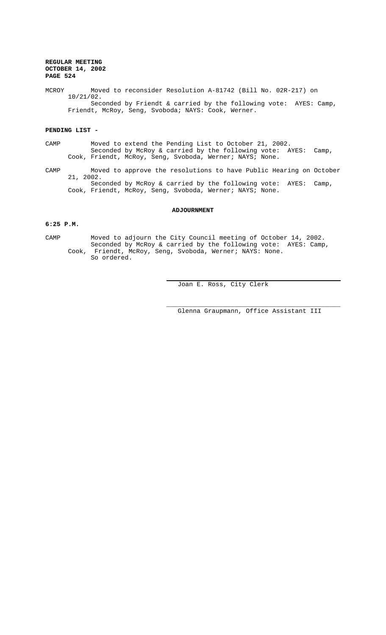MCROY Moved to reconsider Resolution A-81742 (Bill No. 02R-217) on 10/21/02. Seconded by Friendt & carried by the following vote: AYES: Camp, Friendt, McRoy, Seng, Svoboda; NAYS: Cook, Werner.

# **PENDING LIST -**

- CAMP Moved to extend the Pending List to October 21, 2002. Seconded by McRoy & carried by the following vote: AYES: Camp, Cook, Friendt, McRoy, Seng, Svoboda, Werner; NAYS; None.
- CAMP Moved to approve the resolutions to have Public Hearing on October 21, 2002. Seconded by McRoy & carried by the following vote: AYES: Camp, Cook, Friendt, McRoy, Seng, Svoboda, Werner; NAYS; None.

#### **ADJOURNMENT**

# **6:25 P.M.**

CAMP Moved to adjourn the City Council meeting of October 14, 2002. Seconded by McRoy & carried by the following vote: AYES: Camp, Cook, Friendt, McRoy, Seng, Svoboda, Werner; NAYS: None. So ordered.

 $\overline{a}$ 

Joan E. Ross, City Clerk

Glenna Graupmann, Office Assistant III

\_\_\_\_\_\_\_\_\_\_\_\_\_\_\_\_\_\_\_\_\_\_\_\_\_\_\_\_\_\_\_\_\_\_\_\_\_\_\_\_\_\_\_\_\_\_